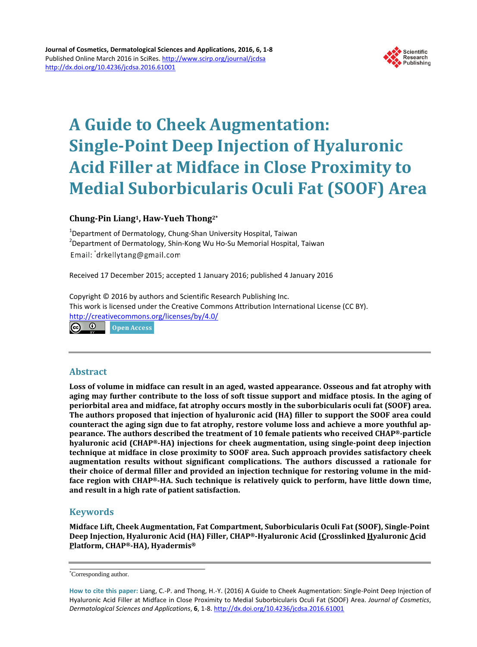

# **A Guide to Cheek Augmentation: Single-Point Deep Injection of Hyaluronic Acid Filler at Midface in Close Proximity to Medial Suborbicularis Oculi Fat (SOOF) Area**

# **Chung-Pin Liang1, Haw-Yueh Thong2\***

<sup>1</sup>Department of Dermatology, Chung-Shan University Hospital, Taiwan 2 Department of Dermatology, Shin-Kong Wu Ho-Su Memorial Hospital, Taiwan Email: drkellytang@gmail.com

Received 17 December 2015; accepted 1 January 2016; published 4 January 2016

Copyright © 2016 by authors and Scientific Research Publishing Inc. This work is licensed under the Creative Commons Attribution International License (CC BY). <http://creativecommons.org/licenses/by/4.0/>  $\bullet$ 

Open Access

## **Abstract**

**Loss of volume in midface can result in an aged, wasted appearance. Osseous and fat atrophy with aging may further contribute to the loss of soft tissue support and midface ptosis. In the aging of periorbital area and midface, fat atrophy occurs mostly in the suborbicularis oculi fat (SOOF) area. The authors proposed that injection of hyaluronic acid (HA) filler to support the SOOF area could counteract the aging sign due to fat atrophy, restore volume loss and achieve a more youthful appearance. The authors described the treatment of 10 female patients who received CHAP®-particle hyaluronic acid (CHAP®-HA) injections for cheek augmentation, using single-point deep injection technique at midface in close proximity to SOOF area. Such approach provides satisfactory cheek augmentation results without significant complications. The authors discussed a rationale for their choice of dermal filler and provided an injection technique for restoring volume in the midface region with CHAP®-HA. Such technique is relatively quick to perform, have little down time, and result in a high rate of patient satisfaction.**

# **Keywords**

**Midface Lift, Cheek Augmentation, Fat Compartment, Suborbicularis Oculi Fat (SOOF), Single-Point Deep Injection, Hyaluronic Acid (HA) Filler, CHAP®-Hyaluronic Acid (Crosslinked Hyaluronic Acid Platform, CHAP®-HA), Hyadermis®**

<sup>\*</sup> Corresponding author.

**How to cite this paper:** Liang, C.-P. and Thong, H.-Y. (2016) A Guide to Cheek Augmentation: Single-Point Deep Injection of Hyaluronic Acid Filler at Midface in Close Proximity to Medial Suborbicularis Oculi Fat (SOOF) Area. *Journal of Cosmetics*, *Dermatological Sciences and Applications*, **6**, 1-8. <http://dx.doi.org/10.4236/jcdsa.2016.61001>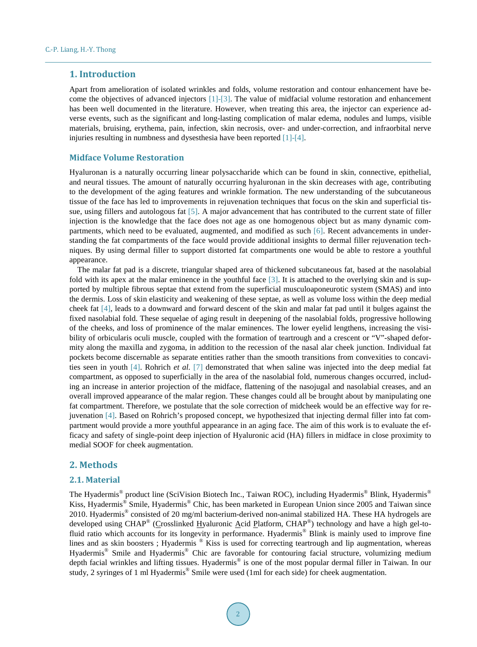### **1. Introduction**

Apart from amelioration of isolated wrinkles and folds, volume restoration and contour enhancement have become the objectives of advanced injectors [\[1\]](#page-6-0)[-\[3\].](#page-6-1) The value of midfacial volume restoration and enhancement has been well documented in the literature. However, when treating this area, the injector can experience adverse events, such as the significant and long-lasting complication of malar edema, nodules and lumps, visible materials, bruising, erythema, pain, infection, skin necrosis, over- and under-correction, and infraorbital nerve injuries resulting in numbness and dysesthesia have been reported [\[1\]-](#page-6-0)[\[4\].](#page-6-2)

#### **Midface Volume Restoration**

Hyaluronan is a naturally occurring linear polysaccharide which can be found in skin, connective, epithelial, and neural tissues. The amount of naturally occurring hyaluronan in the skin decreases with age, contributing to the development of the aging features and wrinkle formation. The new understanding of the subcutaneous tissue of the face has led to improvements in rejuvenation techniques that focus on the skin and superficial tissue, using fillers and autologous fat [\[5\].](#page-6-3) A major advancement that has contributed to the current state of filler injection is the knowledge that the face does not age as one homogenous object but as many dynamic compartments, which need to be evaluated, augmented, and modified as such [\[6\].](#page-7-0) Recent advancements in understanding the fat compartments of the face would provide additional insights to dermal filler rejuvenation techniques. By using dermal filler to support distorted fat compartments one would be able to restore a youthful appearance.

The malar fat pad is a discrete, triangular shaped area of thickened subcutaneous fat, based at the nasolabial fold with its apex at the malar eminence in the youthful face [\[3\].](#page-6-1) It is attached to the overlying skin and is supported by multiple fibrous septae that extend from the superficial musculoaponeurotic system (SMAS) and into the dermis. Loss of skin elasticity and weakening of these septae, as well as volume loss within the deep medial cheek fat [\[4\],](#page-6-2) leads to a downward and forward descent of the skin and malar fat pad until it bulges against the fixed nasolabial fold. These sequelae of aging result in deepening of the nasolabial folds, progressive hollowing of the cheeks, and loss of prominence of the malar eminences. The lower eyelid lengthens, increasing the visibility of orbicularis oculi muscle, coupled with the formation of teartrough and a crescent or "V"-shaped deformity along the maxilla and zygoma, in addition to the recession of the nasal alar cheek junction. Individual fat pockets become discernable as separate entities rather than the smooth transitions from convexities to concavities seen in youth [\[4\].](#page-6-2) Rohrich *et al.* [\[7\]](#page-7-1) demonstrated that when saline was injected into the deep medial fat compartment, as opposed to superficially in the area of the nasolabial fold, numerous changes occurred, including an increase in anterior projection of the midface, flattening of the nasojugal and nasolabial creases, and an overall improved appearance of the malar region. These changes could all be brought about by manipulating one fat compartment. Therefore, we postulate that the sole correction of midcheek would be an effective way for rejuvenation [\[4\].](#page-6-2) Based on Rohrich's proposed concept, we hypothesized that injecting dermal filler into fat compartment would provide a more youthful appearance in an aging face. The aim of this work is to evaluate the efficacy and safety of single-point deep injection of Hyaluronic acid (HA) fillers in midface in close proximity to medial SOOF for cheek augmentation.

# **2. Methods**

## **2.1. Material**

The Hyadermis® product line (SciVision Biotech Inc., Taiwan ROC), including Hyadermis® Blink, Hyadermis® Kiss, Hyadermis® Smile, Hyadermis® Chic, has been marketed in European Union since 2005 and Taiwan since 2010. Hyadermis® consisted of 20 mg/ml bacterium-derived non-animal stabilized HA. These HA hydrogels are developed using CHAP® (Crosslinked Hyaluronic Acid Platform, CHAP®) technology and have a high gel-tofluid ratio which accounts for its longevity in performance. Hyadermis® Blink is mainly used to improve fine lines and as skin boosters; Hyadermis ® Kiss is used for correcting teartrough and lip augmentation, whereas Hyadermis® Smile and Hyadermis® Chic are favorable for contouring facial structure, volumizing medium depth facial wrinkles and lifting tissues. Hyadermis® is one of the most popular dermal filler in Taiwan. In our study, 2 syringes of 1 ml Hyadermis<sup>®</sup> Smile were used (1ml for each side) for cheek augmentation.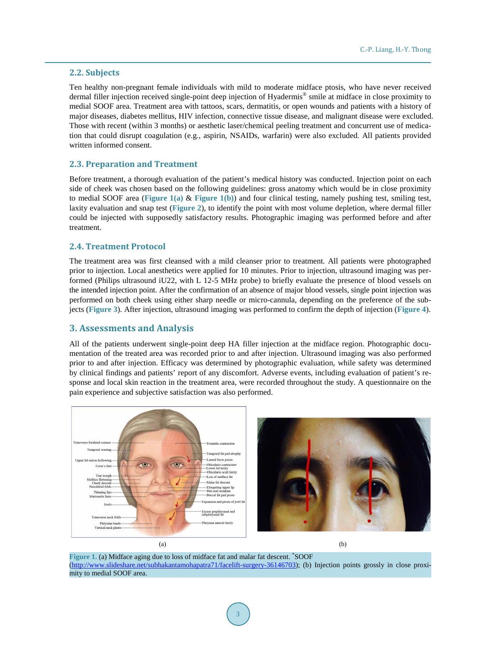#### **2.2. Subjects**

Ten healthy non-pregnant female individuals with mild to moderate midface ptosis, who have never received dermal filler injection received single-point deep injection of Hyadermis® smile at midface in close proximity to medial SOOF area. Treatment area with tattoos, scars, dermatitis, or open wounds and patients with a history of major diseases, diabetes mellitus, HIV infection, connective tissue disease, and malignant disease were excluded. Those with recent (within 3 months) or aesthetic laser/chemical peeling treatment and concurrent use of medication that could disrupt coagulation (e.g., aspirin, NSAIDs, warfarin) were also excluded. All patients provided written informed consent.

### **2.3. Preparation and Treatment**

Before treatment, a thorough evaluation of the patient's medical history was conducted. Injection point on each side of cheek was chosen based on the following guidelines: gross anatomy which would be in close proximity to medial SOOF area (**[Figure 1\(a\)](#page-2-0)** & **[Figure](#page-2-0) 1(b)**) and four clinical testing, namely pushing test, smiling test, laxity evaluation and snap test (**[Figure 2](#page-3-0)**), to identify the point with most volume depletion, where dermal filler could be injected with supposedly satisfactory results. Photographic imaging was performed before and after treatment.

#### **2.4. Treatment Protocol**

The treatment area was first cleansed with a mild cleanser prior to treatment. All patients were photographed prior to injection. Local anesthetics were applied for 10 minutes. Prior to injection, ultrasound imaging was performed (Philips ultrasound iU22, with L 12-5 MHz probe) to briefly evaluate the presence of blood vessels on the intended injection point. After the confirmation of an absence of major blood vessels, single point injection was performed on both cheek using either sharp needle or micro-cannula, depending on the preference of the subjects (**[Figure 3](#page-3-1)**). After injection, ultrasound imaging was performed to confirm the depth of injection (**[Figure 4](#page-4-0)**).

#### **3. Assessments and Analysis**

All of the patients underwent single-point deep HA filler injection at the midface region. Photographic documentation of the treated area was recorded prior to and after injection. Ultrasound imaging was also performed prior to and after injection. Efficacy was determined by photographic evaluation, while safety was determined by clinical findings and patients' report of any discomfort. Adverse events, including evaluation of patient's response and local skin reaction in the treatment area, were recorded throughout the study. A questionnaire on the pain experience and subjective satisfaction was also performed.

<span id="page-2-0"></span>

**Figure 1.** (a) Midface aging due to loss of midface fat and malar fat descent. \* SOOF [\(http://www.slideshare.net/subhakantamohapatra71/facelift-surgery-36146703\)](http://www.slideshare.net/subhakantamohapatra71/facelift-surgery-36146703); (b) Injection points grossly in close proximity to medial SOOF area.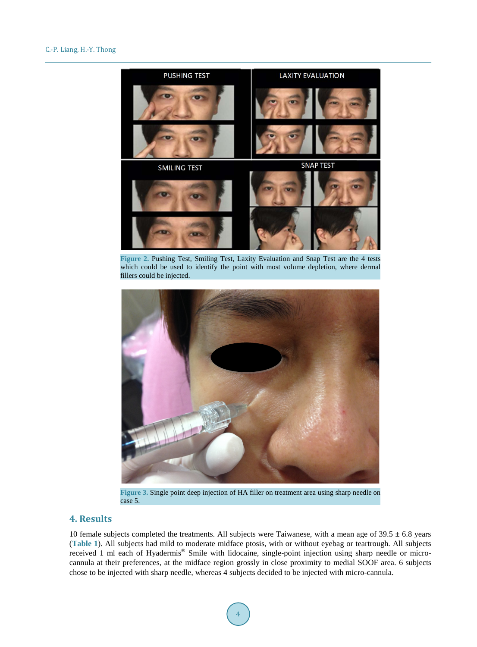<span id="page-3-0"></span>

**Figure 2.** Pushing Test, Smiling Test, Laxity Evaluation and Snap Test are the 4 tests which could be used to identify the point with most volume depletion, where dermal fillers could be injected.

<span id="page-3-1"></span>

**Figure 3.** Single point deep injection of HA filler on treatment area using sharp needle on case 5.

# **4. Results**

10 female subjects completed the treatments. All subjects were Taiwanese, with a mean age of  $39.5 \pm 6.8$  years (**[Table 1](#page-4-1)**). All subjects had mild to moderate midface ptosis, with or without eyebag or teartrough. All subjects received 1 ml each of Hyadermis® Smile with lidocaine, single-point injection using sharp needle or microcannula at their preferences, at the midface region grossly in close proximity to medial SOOF area. 6 subjects chose to be injected with sharp needle, whereas 4 subjects decided to be injected with micro-cannula.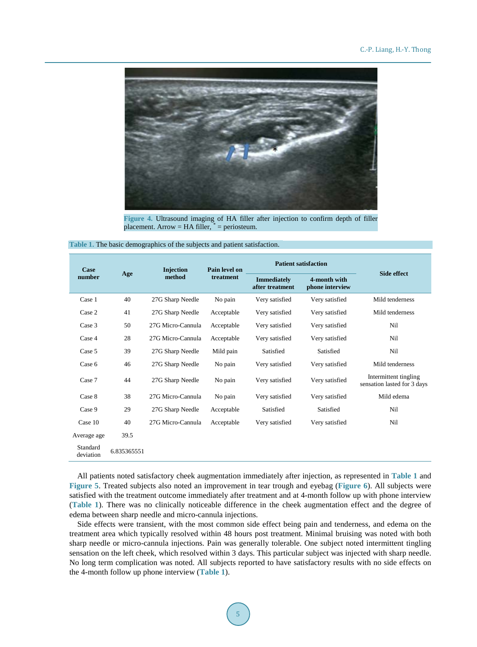<span id="page-4-0"></span>

**Figure 4.** Ultrasound imaging of HA filler after injection to confirm depth of filler placement. Arrow = HA filler,  $* =$  periosteum.

<span id="page-4-1"></span>

| Table 1. The basic demographics of the subjects and patient satisfaction. |  |  |  |  |  |  |  |
|---------------------------------------------------------------------------|--|--|--|--|--|--|--|
|---------------------------------------------------------------------------|--|--|--|--|--|--|--|

| Case                  |             | <b>Injection</b>  | Pain level on | <b>Patient satisfaction</b>           |                                 |                                                      |  |
|-----------------------|-------------|-------------------|---------------|---------------------------------------|---------------------------------|------------------------------------------------------|--|
| Age<br>number         |             | method            | treatment     | <b>Immediately</b><br>after treatment | 4-month with<br>phone interview | <b>Side effect</b>                                   |  |
| Case 1                | 40          | 27G Sharp Needle  | No pain       | Very satisfied                        | Very satisfied                  | Mild tenderness                                      |  |
| Case 2                | 41          | 27G Sharp Needle  | Acceptable    | Very satisfied                        | Very satisfied                  | Mild tenderness                                      |  |
| Case 3                | 50          | 27G Micro-Cannula | Acceptable    | Very satisfied                        | Very satisfied                  | Nil                                                  |  |
| Case 4                | 28          | 27G Micro-Cannula | Acceptable    | Very satisfied                        | Very satisfied                  | Nil                                                  |  |
| Case 5                | 39          | 27G Sharp Needle  | Mild pain     | Satisfied                             | Satisfied                       | Nil                                                  |  |
| Case 6                | 46          | 27G Sharp Needle  | No pain       | Very satisfied                        | Very satisfied                  | Mild tenderness                                      |  |
| Case 7                | 44          | 27G Sharp Needle  | No pain       | Very satisfied                        | Very satisfied                  | Intermittent tingling<br>sensation lasted for 3 days |  |
| Case 8                | 38          | 27G Micro-Cannula | No pain       | Very satisfied                        | Very satisfied                  | Mild edema                                           |  |
| Case 9                | 29          | 27G Sharp Needle  | Acceptable    | Satisfied                             | Satisfied                       | Nil                                                  |  |
| Case 10               | 40          | 27G Micro-Cannula | Acceptable    | Very satisfied                        | Very satisfied                  | Nil                                                  |  |
| Average age           | 39.5        |                   |               |                                       |                                 |                                                      |  |
| Standard<br>deviation | 6.835365551 |                   |               |                                       |                                 |                                                      |  |

All patients noted satisfactory cheek augmentation immediately after injection, as represented in **[Table 1](#page-4-1)** and **[Figure 5](#page-5-0)**. Treated subjects also noted an improvement in tear trough and eyebag (**[Figure 6](#page-5-1)**). All subjects were satisfied with the treatment outcome immediately after treatment and at 4-month follow up with phone interview (**[Table 1](#page-4-1)**). There was no clinically noticeable difference in the cheek augmentation effect and the degree of edema between sharp needle and micro-cannula injections.

Side effects were transient, with the most common side effect being pain and tenderness, and edema on the treatment area which typically resolved within 48 hours post treatment. Minimal bruising was noted with both sharp needle or micro-cannula injections. Pain was generally tolerable. One subject noted intermittent tingling sensation on the left cheek, which resolved within 3 days. This particular subject was injected with sharp needle. No long term complication was noted. All subjects reported to have satisfactory results with no side effects on the 4-month follow up phone interview (**[Table 1](#page-4-1)**).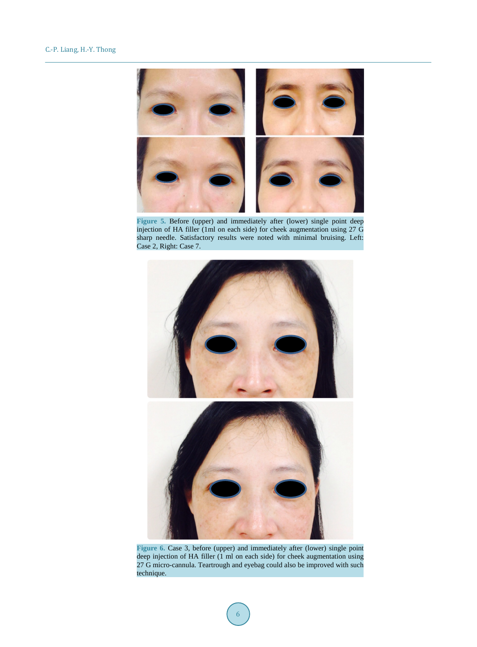<span id="page-5-0"></span>

**Figure 5.** Before (upper) and immediately after (lower) single point deep injection of HA filler (1ml on each side) for cheek augmentation using 27 G sharp needle. Satisfactory results were noted with minimal bruising. Left: Case 2, Right: Case 7.

<span id="page-5-1"></span>

**Figure 6.** Case 3, before (upper) and immediately after (lower) single point deep injection of HA filler (1 ml on each side) for cheek augmentation using 27 G micro-cannula. Teartrough and eyebag could also be improved with such technique.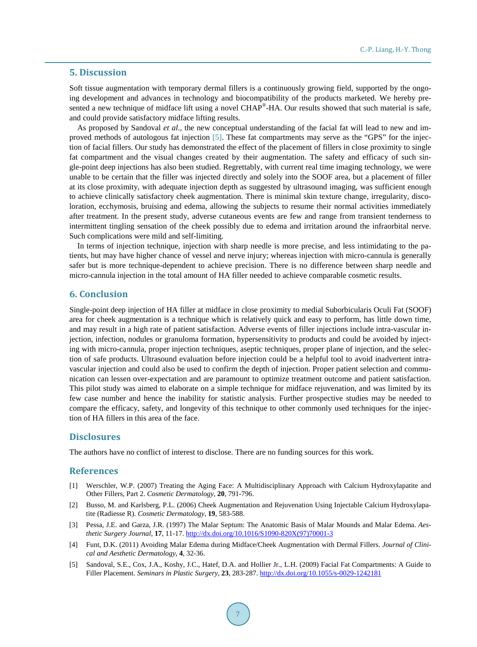#### **5. Discussion**

Soft tissue augmentation with temporary dermal fillers is a continuously growing field, supported by the ongoing development and advances in technology and biocompatibility of the products marketed. We hereby presented a new technique of midface lift using a novel CHAP<sup>®</sup>-HA. Our results showed that such material is safe, and could provide satisfactory midface lifting results.

As proposed by Sandoval *et al.*, the new conceptual understanding of the facial fat will lead to new and improved methods of autologous fat injection [\[5\].](#page-6-3) These fat compartments may serve as the "GPS" for the injection of facial fillers. Our study has demonstrated the effect of the placement of fillers in close proximity to single fat compartment and the visual changes created by their augmentation. The safety and efficacy of such single-point deep injections has also been studied. Regrettably, with current real time imaging technology, we were unable to be certain that the filler was injected directly and solely into the SOOF area, but a placement of filler at its close proximity, with adequate injection depth as suggested by ultrasound imaging, was sufficient enough to achieve clinically satisfactory cheek augmentation. There is minimal skin texture change, irregularity, discoloration, ecchymosis, bruising and edema, allowing the subjects to resume their normal activities immediately after treatment. In the present study, adverse cutaneous events are few and range from transient tenderness to intermittent tingling sensation of the cheek possibly due to edema and irritation around the infraorbital nerve. Such complications were mild and self-limiting.

In terms of injection technique, injection with sharp needle is more precise, and less intimidating to the patients, but may have higher chance of vessel and nerve injury; whereas injection with micro-cannula is generally safer but is more technique-dependent to achieve precision. There is no difference between sharp needle and micro-cannula injection in the total amount of HA filler needed to achieve comparable cosmetic results.

### **6. Conclusion**

Single-point deep injection of HA filler at midface in close proximity to medial Suborbicularis Oculi Fat (SOOF) area for cheek augmentation is a technique which is relatively quick and easy to perform, has little down time, and may result in a high rate of patient satisfaction. Adverse events of filler injections include intra-vascular injection, infection, nodules or granuloma formation, hypersensitivity to products and could be avoided by injecting with micro-cannula, proper injection techniques, aseptic techniques, proper plane of injection, and the selection of safe products. Ultrasound evaluation before injection could be a helpful tool to avoid inadvertent intravascular injection and could also be used to confirm the depth of injection. Proper patient selection and communication can lessen over-expectation and are paramount to optimize treatment outcome and patient satisfaction. This pilot study was aimed to elaborate on a simple technique for midface rejuvenation, and was limited by its few case number and hence the inability for statistic analysis. Further prospective studies may be needed to compare the efficacy, safety, and longevity of this technique to other commonly used techniques for the injection of HA fillers in this area of the face.

#### **Disclosures**

The authors have no conflict of interest to disclose. There are no funding sources for this work.

## **References**

- <span id="page-6-0"></span>[1] Werschler, W.P. (2007) Treating the Aging Face: A Multidisciplinary Approach with Calcium Hydroxylapatite and Other Fillers, Part 2. *Cosmetic Dermatology*, **20**, 791-796.
- [2] Busso, M. and Karlsberg, P.L. (2006) Cheek Augmentation and Rejuvenation Using Injectable Calcium Hydroxylapatite (Radiesse R). *Cosmetic Dermatology*, **19**, 583-588.
- <span id="page-6-1"></span>[3] Pessa, J.E. and Garza, J.R. (1997) The Malar Septum: The Anatomic Basis of Malar Mounds and Malar Edema. *Aesthetic Surgery Journal*, **17**, 11-17. [http://dx.doi.org/10.1016/S1090-820X\(97\)70001-3](http://dx.doi.org/10.1016/S1090-820X(97)70001-3)
- <span id="page-6-2"></span>[4] Funt, D.K. (2011) Avoiding Malar Edema during Midface/Cheek Augmentation with Dermal Fillers. *Journal of Clinical and Aesthetic Dermatology*, **4**, 32-36.
- <span id="page-6-3"></span>[5] Sandoval, S.E., Cox, J.A., Koshy, J.C., Hatef, D.A. and Hollier Jr., L.H. (2009) Facial Fat Compartments: A Guide to Filler Placement. *Seminars in Plastic Surgery*, **23**, 283-287. <http://dx.doi.org/10.1055/s-0029-1242181>